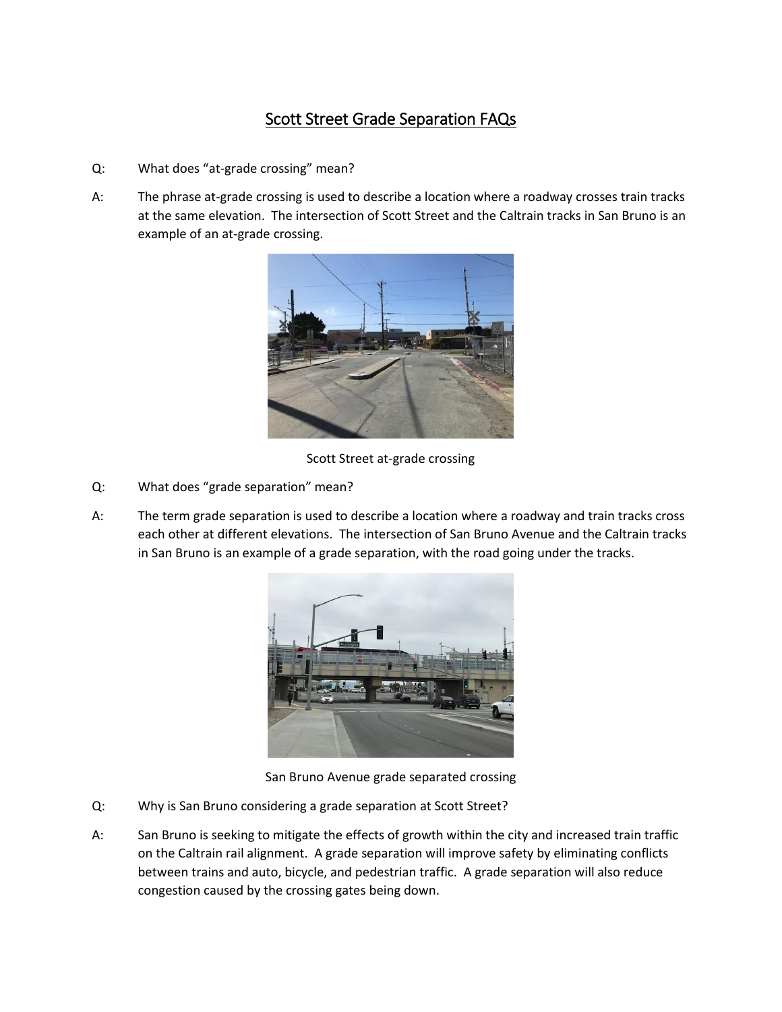## Scott Street Grade Separation FAQs

- Q: What does "at-grade crossing" mean?
- A: The phrase at-grade crossing is used to describe a location where a roadway crosses train tracks at the same elevation. The intersection of Scott Street and the Caltrain tracks in San Bruno is an example of an at-grade crossing.



Scott Street at-grade crossing

- Q: What does "grade separation" mean?
- A: The term grade separation is used to describe a location where a roadway and train tracks cross each other at different elevations. The intersection of San Bruno Avenue and the Caltrain tracks in San Bruno is an example of a grade separation, with the road going under the tracks.



San Bruno Avenue grade separated crossing

- Q: Why is San Bruno considering a grade separation at Scott Street?
- A: San Bruno is seeking to mitigate the effects of growth within the city and increased train traffic on the Caltrain rail alignment. A grade separation will improve safety by eliminating conflicts between trains and auto, bicycle, and pedestrian traffic. A grade separation will also reduce congestion caused by the crossing gates being down.